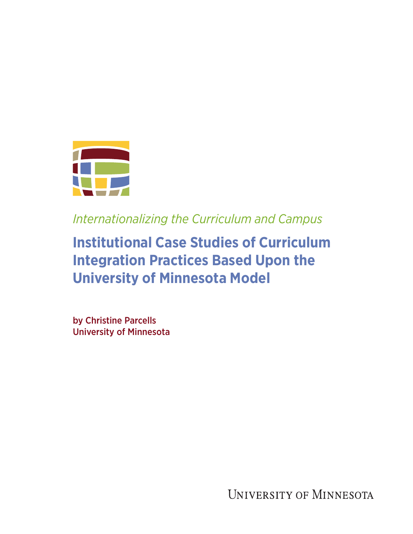

*Internationalizing the Curriculum and Campus*

# **Institutional Case Studies of Curriculum Integration Practices Based Upon the University of Minnesota Model**

by Christine Parcells University of Minnesota

UNIVERSITY OF MINNESOTA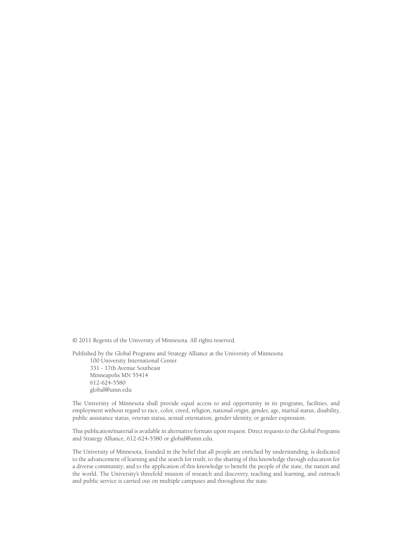© 2011 Regents of the University of Minnesota. All rights reserved.

Published by the Global Programs and Strategy Alliance at the University of Minnesota. 100 University International Center 331 - 17th Avenue Southeast Minneapolis MN 55414 612-624-5580 global@umn.edu

The University of Minnesota shall provide equal access to and opportunity in its programs, facilities, and employment without regard to race, color, creed, religion, national origin, gender, age, marital status, disability, public assistance status, veteran status, sexual orientation, gender identity, or gender expression.

This publication/material is available in alternative formats upon request. Direct requests to the Global Programs and Strategy Alliance, 612-624-5580 or global@umn.edu.

The University of Minnesota, founded in the belief that all people are enriched by understanding, is dedicated to the advancement of learning and the search for truth; to the sharing of this knowledge through education for a diverse community; and to the application of this knowledge to benefit the people of the state, the nation and the world. The University's threefold mission of research and discovery, teaching and learning, and outreach and public service is carried out on multiple campuses and throughout the state.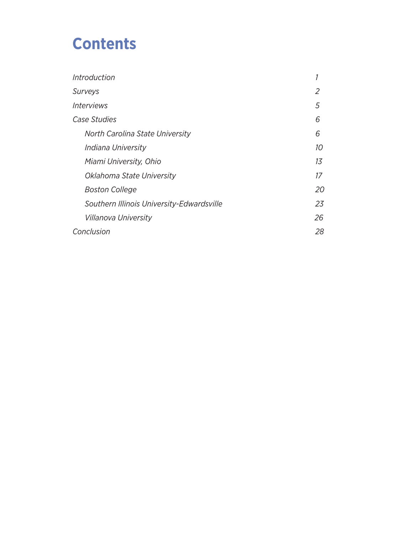# **Contents**

| Introduction                              |    |
|-------------------------------------------|----|
| Surveys                                   | 2  |
| Interviews                                | 5  |
| <i><b>Case Studies</b></i>                | 6  |
| North Carolina State University           | 6  |
| Indiana University                        | 10 |
| Miami University, Ohio                    | 13 |
| Oklahoma State University                 | 17 |
| <b>Boston College</b>                     | 20 |
| Southern Illinois University-Edwardsville | 23 |
| Villanova University                      | 26 |
| Conclusion                                |    |
|                                           |    |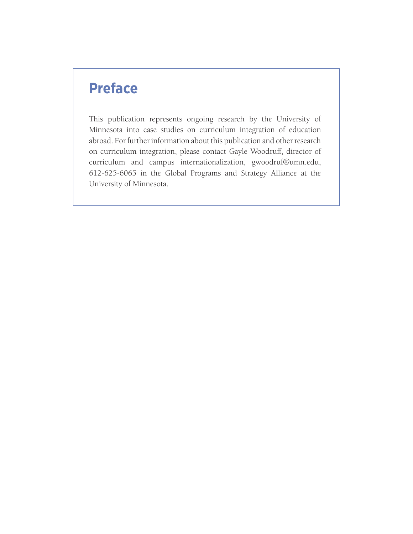# **Preface**

This publication represents ongoing research by the University of Minnesota into case studies on curriculum integration of education abroad. For further information about this publication and other research on curriculum integration, please contact Gayle Woodruff, director of curriculum and campus internationalization, gwoodruf@umn.edu, 612-625-6065 in the Global Programs and Strategy Alliance at the University of Minnesota.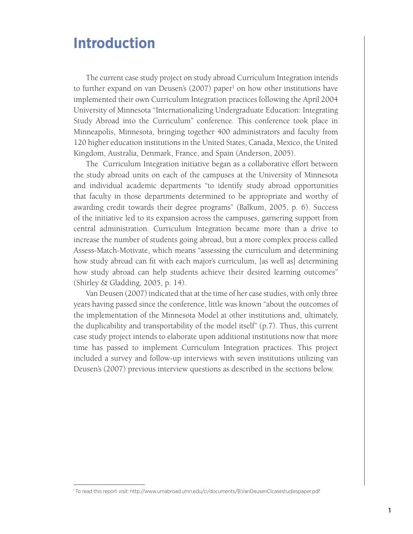# **Introduction**

The current case study project on study abroad Curriculum Integration intends to further expand on van Deusen's (2007) paper<sup>1</sup> on how other institutions have implemented their own Curriculum Integration practices following the April 2004 University of Minnesota "Internationalizing Undergraduate Education: Integrating Study Abroad into the Curriculum" conference. This conference took place in Minneapolis, Minnesota, bringing together 400 administrators and faculty from 120 higher education institutions in the United States, Canada, Mexico, the United Kingdom, Australia, Denmark, France, and Spain (Anderson, 2005).

The Curriculum Integration initiative began as a collaborative effort between the study abroad units on each of the campuses at the University of Minnesota and individual academic departments "to identify study abroad opportunities that faculty in those departments determined to be appropriate and worthy of awarding credit towards their degree programs" (Balkum, 2005, p. 6). Success of the initiative led to its expansion across the campuses, garnering support from central administration. Curriculum Integration became more than a drive to increase the number of students going abroad, but a more complex process called Assess-Match-Motivate, which means "assessing the curriculum and determining how study abroad can fit with each major's curriculum, [as well as] determining how study abroad can help students achieve their desired learning outcomes" (Shirley & Gladding, 2005, p. 14).

Van Deusen (2007) indicated that at the time of her case studies, with only three years having passed since the conference, little was known "about the outcomes of the implementation of the Minnesota Model at other institutions and, ultimately, the duplicability and transportability of the model itself" (p.7). Thus, this current case study project intends to elaborate upon additional institutions now that more time has passed to implement Curriculum Integration practices. This project included a survey and follow-up interviews with seven institutions utilizing van Deusen's (2007) previous interview questions as described in the sections below.

<sup>1</sup> To read this report visit: http://www.umabroad.umn.edu/ci/documents/B.VanDeusenCIcasestudiespaper.pdf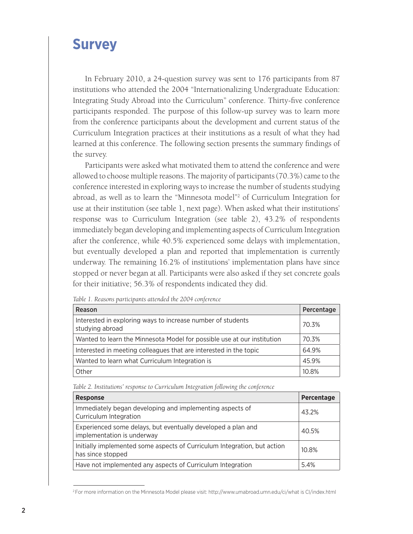# **Survey**

In February 2010, a 24-question survey was sent to 176 participants from 87 institutions who attended the 2004 "Internationalizing Undergraduate Education: Integrating Study Abroad into the Curriculum" conference. Thirty-five conference participants responded. The purpose of this follow-up survey was to learn more from the conference participants about the development and current status of the Curriculum Integration practices at their institutions as a result of what they had learned at this conference. The following section presents the summary findings of the survey.

Participants were asked what motivated them to attend the conference and were allowed to choose multiple reasons. The majority of participants (70.3%) came to the conference interested in exploring ways to increase the number of students studying abroad, as well as to learn the "Minnesota model"2 of Curriculum Integration for use at their institution (see table 1, next page). When asked what their institutions' response was to Curriculum Integration (see table 2), 43.2% of respondents immediately began developing and implementing aspects of Curriculum Integration after the conference, while 40.5% experienced some delays with implementation, but eventually developed a plan and reported that implementation is currently underway. The remaining 16.2% of institutions' implementation plans have since stopped or never began at all. Participants were also asked if they set concrete goals for their initiative; 56.3% of respondents indicated they did.

| Reason                                                                         | Percentage |
|--------------------------------------------------------------------------------|------------|
| Interested in exploring ways to increase number of students<br>studying abroad | 70.3%      |
| Wanted to learn the Minnesota Model for possible use at our institution        | 70.3%      |
| Interested in meeting colleagues that are interested in the topic              | 64.9%      |
| Wanted to learn what Curriculum Integration is                                 | 45.9%      |
| Other                                                                          | 10.8%      |

*Table 1. Reasons participants attended the 2004 conference*

*Table 2. Institutions' response to Curriculum Integration following the conference*

| <b>Response</b>                                                                               | Percentage |
|-----------------------------------------------------------------------------------------------|------------|
| Immediately began developing and implementing aspects of<br>Curriculum Integration            | 43.2%      |
| Experienced some delays, but eventually developed a plan and<br>implementation is underway    | 40.5%      |
| Initially implemented some aspects of Curriculum Integration, but action<br>has since stopped | 10.8%      |
| Have not implemented any aspects of Curriculum Integration                                    | 5.4%       |

<sup>2</sup> For more information on the Minnesota Model please visit: http://www.umabroad.umn.edu/ci/what is CI/index.html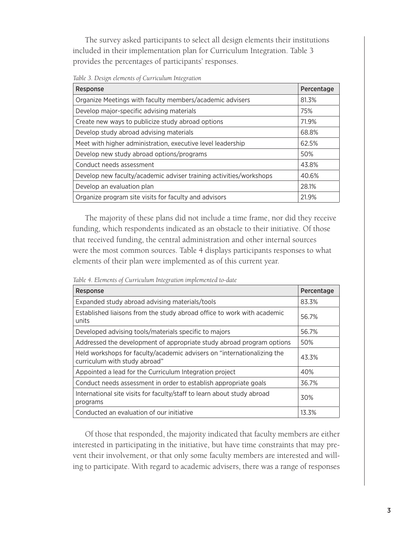The survey asked participants to select all design elements their institutions included in their implementation plan for Curriculum Integration. Table 3 provides the percentages of participants' responses.

*Table 3. Design elements of Curriculum Integration*

| Response                                                           | Percentage |
|--------------------------------------------------------------------|------------|
| Organize Meetings with faculty members/academic advisers           | 81.3%      |
| Develop major-specific advising materials                          | 75%        |
| Create new ways to publicize study abroad options                  | 71.9%      |
| Develop study abroad advising materials                            | 68.8%      |
| Meet with higher administration, executive level leadership        | 62.5%      |
| Develop new study abroad options/programs                          | 50%        |
| Conduct needs assessment                                           | 43.8%      |
| Develop new faculty/academic adviser training activities/workshops | 40.6%      |
| Develop an evaluation plan                                         | 28.1%      |
| Organize program site visits for faculty and advisors              | 21.9%      |

The majority of these plans did not include a time frame, nor did they receive funding, which respondents indicated as an obstacle to their initiative. Of those that received funding, the central administration and other internal sources were the most common sources. Table 4 displays participants responses to what elements of their plan were implemented as of this current year.

*Table 4. Elements of Curriculum Integration implemented to-date*

| Response                                                                                                 | Percentage |
|----------------------------------------------------------------------------------------------------------|------------|
| Expanded study abroad advising materials/tools                                                           | 83.3%      |
| Established liaisons from the study abroad office to work with academic<br>units                         | 56.7%      |
| Developed advising tools/materials specific to majors                                                    | 56.7%      |
| Addressed the development of appropriate study abroad program options                                    | 50%        |
| Held workshops for faculty/academic advisers on "internationalizing the<br>curriculum with study abroad" | 43.3%      |
| Appointed a lead for the Curriculum Integration project                                                  | 40%        |
| Conduct needs assessment in order to establish appropriate goals                                         | 36.7%      |
| International site visits for faculty/staff to learn about study abroad<br>programs                      | 30%        |
| Conducted an evaluation of our initiative                                                                | 13.3%      |

Of those that responded, the majority indicated that faculty members are either interested in participating in the initiative, but have time constraints that may prevent their involvement, or that only some faculty members are interested and willing to participate. With regard to academic advisers, there was a range of responses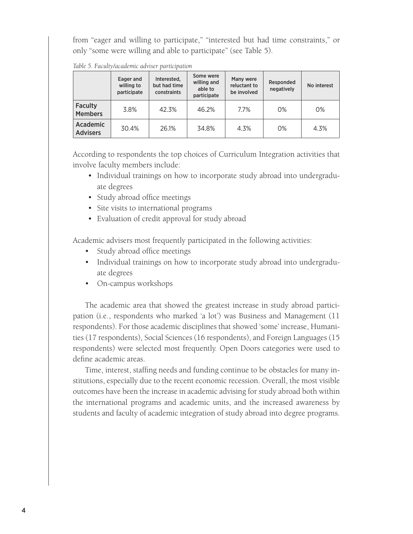from "eager and willing to participate," "interested but had time constraints," or only "some were willing and able to participate" (see Table 5).

|                                    | Eager and<br>willing to<br>participate | Interested,<br>but had time<br>constraints | Some were<br>willing and<br>able to<br>participate | Many were<br>reluctant to<br>be involved | Responded<br>negatively | No interest |
|------------------------------------|----------------------------------------|--------------------------------------------|----------------------------------------------------|------------------------------------------|-------------------------|-------------|
| <b>Faculty</b><br><b>Members</b>   | 3.8%                                   | 42.3%                                      | 46.2%                                              | 7.7%                                     | 0%                      | 0%          |
| <b>Academic</b><br><b>Advisers</b> | 30.4%                                  | 26.1%                                      | 34.8%                                              | 4.3%                                     | 0%                      | 4.3%        |

*Table 5. Faculty/academic adviser participation*

According to respondents the top choices of Curriculum Integration activities that involve faculty members include:

- Individual trainings on how to incorporate study abroad into undergraduate degrees
- Study abroad office meetings
- Site visits to international programs
- Evaluation of credit approval for study abroad

Academic advisers most frequently participated in the following activities:

- Study abroad office meetings
- Individual trainings on how to incorporate study abroad into undergraduate degrees
- On-campus workshops

The academic area that showed the greatest increase in study abroad participation (i.e., respondents who marked 'a lot') was Business and Management (11 respondents). For those academic disciplines that showed 'some' increase, Humanities (17 respondents), Social Sciences (16 respondents), and Foreign Languages (15 respondents) were selected most frequently. Open Doors categories were used to define academic areas.

Time, interest, staffing needs and funding continue to be obstacles for many institutions, especially due to the recent economic recession. Overall, the most visible outcomes have been the increase in academic advising for study abroad both within the international programs and academic units, and the increased awareness by students and faculty of academic integration of study abroad into degree programs.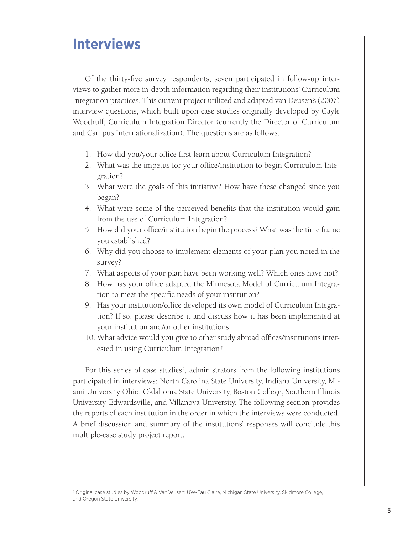# **Interviews**

Of the thirty-five survey respondents, seven participated in follow-up interviews to gather more in-depth information regarding their institutions' Curriculum Integration practices. This current project utilized and adapted van Deusen's (2007) interview questions, which built upon case studies originally developed by Gayle Woodruff, Curriculum Integration Director (currently the Director of Curriculum and Campus Internationalization). The questions are as follows:

- 1. How did you/your office first learn about Curriculum Integration?
- 2. What was the impetus for your office/institution to begin Curriculum Integration?
- 3. What were the goals of this initiative? How have these changed since you began?
- 4. What were some of the perceived benefits that the institution would gain from the use of Curriculum Integration?
- 5. How did your office/institution begin the process? What was the time frame you established?
- 6. Why did you choose to implement elements of your plan you noted in the survey?
- 7. What aspects of your plan have been working well? Which ones have not?
- 8. How has your office adapted the Minnesota Model of Curriculum Integration to meet the specific needs of your institution?
- 9. Has your institution/office developed its own model of Curriculum Integration? If so, please describe it and discuss how it has been implemented at your institution and/or other institutions.
- 10. What advice would you give to other study abroad offices/institutions interested in using Curriculum Integration?

For this series of case studies<sup>3</sup>, administrators from the following institutions participated in interviews: North Carolina State University, Indiana University, Miami University Ohio, Oklahoma State University, Boston College, Southern Illinois University-Edwardsville, and Villanova University. The following section provides the reports of each institution in the order in which the interviews were conducted. A brief discussion and summary of the institutions' responses will conclude this multiple-case study project report.

<sup>3</sup> Original case studies by Woodruff & VanDeusen: UW-Eau Claire, Michigan State University, Skidmore College, and Oregon State University.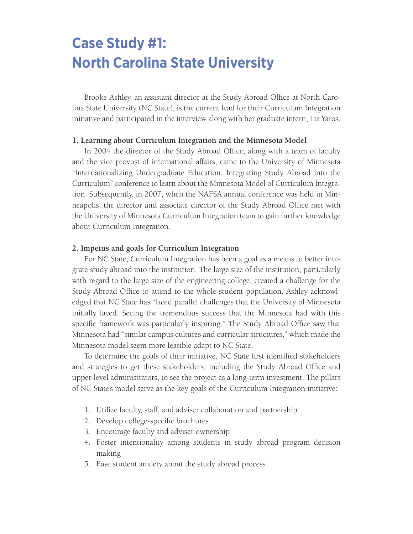# **Case Study #1: North Carolina State University**

Brooke Ashley, an assistant director at the Study Abroad Office at North Carolina State University (NC State), is the current lead for their Curriculum Integration initiative and participated in the interview along with her graduate intern, Liz Yaros.

### **1. Learning about Curriculum Integration and the Minnesota Model**

In 2004 the director of the Study Abroad Office, along with a team of faculty and the vice provost of international affairs, came to the University of Minnesota "Internationalizing Undergraduate Education: Integrating Study Abroad into the Curriculum" conference to learn about the Minnesota Model of Curriculum Integration. Subsequently, in 2007, when the NAFSA annual conference was held in Minneapolis, the director and associate director of the Study Abroad Office met with the University of Minnesota Curriculum Integration team to gain further knowledge about Curriculum Integration.

# **2. Impetus and goals for Curriculum Integration**

For NC State, Curriculum Integration has been a goal as a means to better integrate study abroad into the institution. The large size of the institution, particularly with regard to the large size of the engineering college, created a challenge for the Study Abroad Office to attend to the whole student population. Ashley acknowledged that NC State has "faced parallel challenges that the University of Minnesota initially faced. Seeing the tremendous success that the Minnesota had with this specific framework was particularly inspiring." The Study Abroad Office saw that Minnesota had "similar campus cultures and curricular structures," which made the Minnesota model seem more feasible adapt to NC State.

To determine the goals of their initiative, NC State first identified stakeholders and strategies to get these stakeholders, including the Study Abroad Office and upper-level administrators, to see the project as a long-term investment. The pillars of NC State's model serve as the key goals of the Curriculum Integration initiative:

- 1. Utilize faculty, staff, and adviser collaboration and partnership
- 2. Develop college-specific brochures
- 3. Encourage faculty and adviser ownership
- 4. Foster intentionality among students in study abroad program decision making
- 5. Ease student anxiety about the study abroad process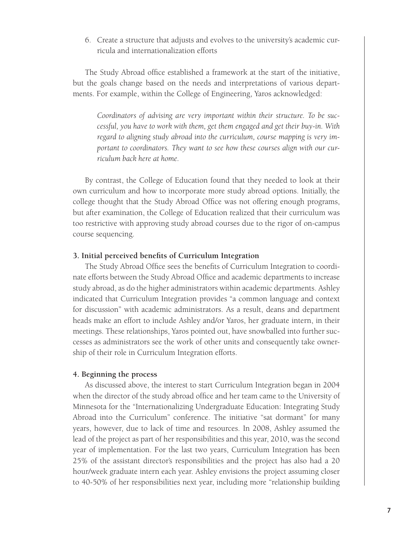6. Create a structure that adjusts and evolves to the university's academic curricula and internationalization efforts

The Study Abroad office established a framework at the start of the initiative, but the goals change based on the needs and interpretations of various departments. For example, within the College of Engineering, Yaros acknowledged:

*Coordinators of advising are very important within their structure. To be successful, you have to work with them, get them engaged and get their buy-in. With regard to aligning study abroad into the curriculum, course mapping is very important to coordinators. They want to see how these courses align with our curriculum back here at home.*

By contrast, the College of Education found that they needed to look at their own curriculum and how to incorporate more study abroad options. Initially, the college thought that the Study Abroad Office was not offering enough programs, but after examination, the College of Education realized that their curriculum was too restrictive with approving study abroad courses due to the rigor of on-campus course sequencing.

#### **3. Initial perceived benefits of Curriculum Integration**

The Study Abroad Office sees the benefits of Curriculum Integration to coordinate efforts between the Study Abroad Office and academic departments to increase study abroad, as do the higher administrators within academic departments. Ashley indicated that Curriculum Integration provides "a common language and context for discussion" with academic administrators. As a result, deans and department heads make an effort to include Ashley and/or Yaros, her graduate intern, in their meetings. These relationships, Yaros pointed out, have snowballed into further successes as administrators see the work of other units and consequently take ownership of their role in Curriculum Integration efforts.

#### **4. Beginning the process**

As discussed above, the interest to start Curriculum Integration began in 2004 when the director of the study abroad office and her team came to the University of Minnesota for the "Internationalizing Undergraduate Education: Integrating Study Abroad into the Curriculum" conference. The initiative "sat dormant" for many years, however, due to lack of time and resources. In 2008, Ashley assumed the lead of the project as part of her responsibilities and this year, 2010, was the second year of implementation. For the last two years, Curriculum Integration has been 25% of the assistant director's responsibilities and the project has also had a 20 hour/week graduate intern each year. Ashley envisions the project assuming closer to 40-50% of her responsibilities next year, including more "relationship building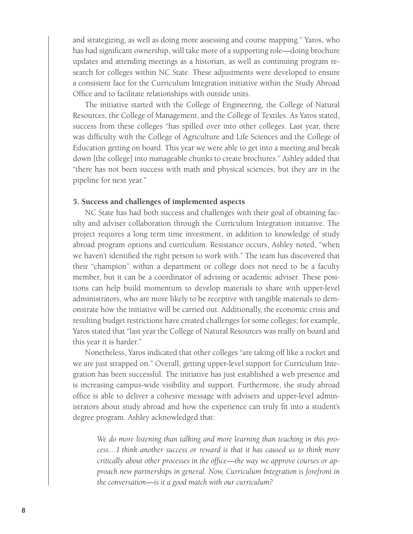and strategizing, as well as doing more assessing and course mapping." Yaros, who has had significant ownership, will take more of a supporting role—doing brochure updates and attending meetings as a historian, as well as continuing program research for colleges within NC State. These adjustments were developed to ensure a consistent face for the Curriculum Integration initiative within the Study Abroad Office and to facilitate relationships with outside units.

The initiative started with the College of Engineering, the College of Natural Resources, the College of Management, and the College of Textiles. As Yaros stated, success from these colleges "has spilled over into other colleges. Last year, there was difficulty with the College of Agriculture and Life Sciences and the College of Education getting on board. This year we were able to get into a meeting and break down [the college] into manageable chunks to create brochures." Ashley added that "there has not been success with math and physical sciences, but they are in the pipeline for next year."

## **5. Success and challenges of implemented aspects**

NC State has had both success and challenges with their goal of obtaining faculty and adviser collaboration through the Curriculum Integration initiative. The project requires a long term time investment, in addition to knowledge of study abroad program options and curriculum. Resistance occurs, Ashley noted, "when we haven't identified the right person to work with." The team has discovered that their "champion" within a department or college does not need to be a faculty member, but it can be a coordinator of advising or academic adviser. These positions can help build momentum to develop materials to share with upper-level administrators, who are more likely to be receptive with tangible materials to demonstrate how the initiative will be carried out. Additionally, the economic crisis and resulting budget restrictions have created challenges for some colleges; for example, Yaros stated that "last year the College of Natural Resources was really on board and this year it is harder."

Nonetheless, Yaros indicated that other colleges "are taking off like a rocket and we are just strapped on." Overall, getting upper-level support for Curriculum Integration has been successful. The initiative has just established a web presence and is increasing campus-wide visibility and support. Furthermore, the study abroad office is able to deliver a cohesive message with advisers and upper-level administrators about study abroad and how the experience can truly fit into a student's degree program. Ashley acknowledged that:

*We do more listening than talking and more learning than teaching in this process…I think another success or reward is that it has caused us to think more critically about other processes in the office—the way we approve courses or approach new partnerships in general. Now, Curriculum Integration is forefront in the conversation—is it a good match with our curriculum?*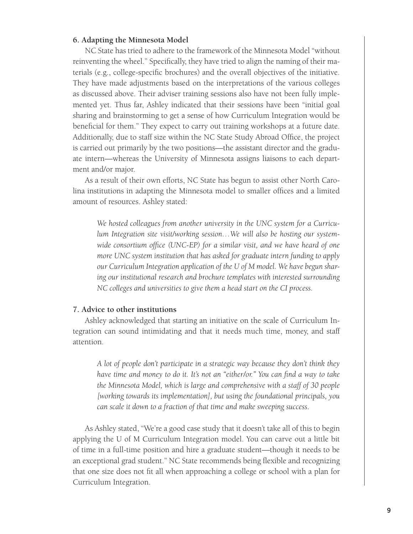#### **6. Adapting the Minnesota Model**

NC State has tried to adhere to the framework of the Minnesota Model "without reinventing the wheel." Specifically, they have tried to align the naming of their materials (e.g., college-specific brochures) and the overall objectives of the initiative. They have made adjustments based on the interpretations of the various colleges as discussed above. Their adviser training sessions also have not been fully implemented yet. Thus far, Ashley indicated that their sessions have been "initial goal sharing and brainstorming to get a sense of how Curriculum Integration would be beneficial for them." They expect to carry out training workshops at a future date. Additionally, due to staff size within the NC State Study Abroad Office, the project is carried out primarily by the two positions—the assistant director and the graduate intern—whereas the University of Minnesota assigns liaisons to each department and/or major.

As a result of their own efforts, NC State has begun to assist other North Carolina institutions in adapting the Minnesota model to smaller offices and a limited amount of resources. Ashley stated:

*We hosted colleagues from another university in the UNC system for a Curriculum Integration site visit/working session…We will also be hosting our systemwide consortium office (UNC-EP) for a similar visit, and we have heard of one more UNC system institution that has asked for graduate intern funding to apply our Curriculum Integration application of the U of M model. We have begun sharing our institutional research and brochure templates with interested surrounding NC colleges and universities to give them a head start on the CI process.*

#### **7. Advice to other institutions**

Ashley acknowledged that starting an initiative on the scale of Curriculum Integration can sound intimidating and that it needs much time, money, and staff attention.

*A lot of people don't participate in a strategic way because they don't think they have time and money to do it. It's not an "either/or." You can find a way to take the Minnesota Model, which is large and comprehensive with a staff of 30 people [working towards its implementation], but using the foundational principals, you can scale it down to a fraction of that time and make sweeping success*.

As Ashley stated, "We're a good case study that it doesn't take all of this to begin applying the U of M Curriculum Integration model. You can carve out a little bit of time in a full-time position and hire a graduate student—though it needs to be an exceptional grad student." NC State recommends being flexible and recognizing that one size does not fit all when approaching a college or school with a plan for Curriculum Integration.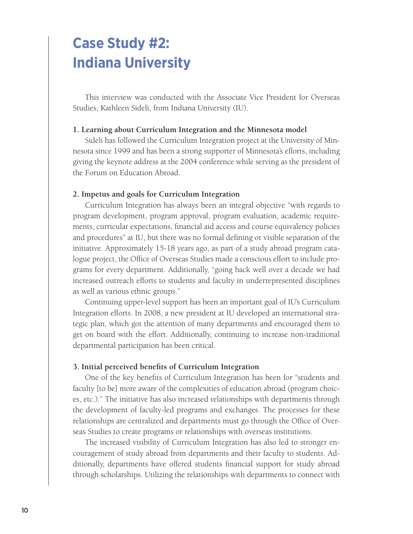# **Case Study #2: Indiana University**

This interview was conducted with the Associate Vice President for Overseas Studies, Kathleen Sideli, from Indiana University (IU).

## **1. Learning about Curriculum Integration and the Minnesota model**

Sideli has followed the Curriculum Integration project at the University of Minnesota since 1999 and has been a strong supporter of Minnesota's efforts, including giving the keynote address at the 2004 conference while serving as the president of the Forum on Education Abroad.

#### **2. Impetus and goals for Curriculum Integration**

Curriculum Integration has always been an integral objective "with regards to program development, program approval, program evaluation, academic requirements, curricular expectations, financial aid access and course equivalency policies and procedures" at IU, but there was no formal defining or visible separation of the initiative. Approximately 15-18 years ago, as part of a study abroad program catalogue project, the Office of Overseas Studies made a conscious effort to include programs for every department. Additionally, "going back well over a decade we had increased outreach efforts to students and faculty in underrepresented disciplines as well as various ethnic groups."

Continuing upper-level support has been an important goal of IU's Curriculum Integration efforts. In 2008, a new president at IU developed an international strategic plan, which got the attention of many departments and encouraged them to get on board with the effort. Additionally, continuing to increase non-traditional departmental participation has been critical.

### **3. Initial perceived benefits of Curriculum Integration**

One of the key benefits of Curriculum Integration has been for "students and faculty [to be] more aware of the complexities of education abroad (program choices, etc.)." The initiative has also increased relationships with departments through the development of faculty-led programs and exchanges. The processes for these relationships are centralized and departments must go through the Office of Overseas Studies to create programs or relationships with overseas institutions.

The increased visibility of Curriculum Integration has also led to stronger encouragement of study abroad from departments and their faculty to students. Additionally, departments have offered students financial support for study abroad through scholarships. Utilizing the relationships with departments to connect with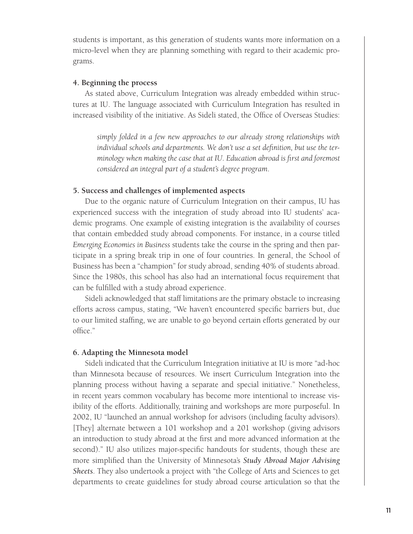students is important, as this generation of students wants more information on a micro-level when they are planning something with regard to their academic programs.

#### **4. Beginning the process**

As stated above, Curriculum Integration was already embedded within structures at IU. The language associated with Curriculum Integration has resulted in increased visibility of the initiative. As Sideli stated, the Office of Overseas Studies:

*simply folded in a few new approaches to our already strong relationships with individual schools and departments. We don't use a set definition, but use the terminology when making the case that at IU. Education abroad is first and foremost considered an integral part of a student's degree program*.

#### **5. Success and challenges of implemented aspects**

Due to the organic nature of Curriculum Integration on their campus, IU has experienced success with the integration of study abroad into IU students' academic programs. One example of existing integration is the availability of courses that contain embedded study abroad components. For instance, in a course titled *Emerging Economies in Business* students take the course in the spring and then participate in a spring break trip in one of four countries. In general, the School of Business has been a "champion" for study abroad, sending 40% of students abroad. Since the 1980s, this school has also had an international focus requirement that can be fulfilled with a study abroad experience.

Sideli acknowledged that staff limitations are the primary obstacle to increasing efforts across campus, stating, "We haven't encountered specific barriers but, due to our limited staffing, we are unable to go beyond certain efforts generated by our office."

#### **6. Adapting the Minnesota model**

Sideli indicated that the Curriculum Integration initiative at IU is more "ad-hoc than Minnesota because of resources. We insert Curriculum Integration into the planning process without having a separate and special initiative." Nonetheless, in recent years common vocabulary has become more intentional to increase visibility of the efforts. Additionally, training and workshops are more purposeful. In 2002, IU "launched an annual workshop for advisors (including faculty advisors). [They] alternate between a 101 workshop and a 201 workshop (giving advisors an introduction to study abroad at the first and more advanced information at the second)." IU also utilizes major-specific handouts for students, though these are more simplified than the University of Minnesota's *Study Abroad Major Advising Sheets*. They also undertook a project with "the College of Arts and Sciences to get departments to create guidelines for study abroad course articulation so that the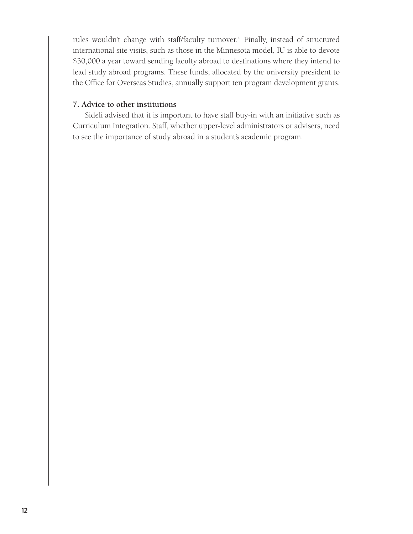rules wouldn't change with staff/faculty turnover." Finally, instead of structured international site visits, such as those in the Minnesota model, IU is able to devote \$30,000 a year toward sending faculty abroad to destinations where they intend to lead study abroad programs. These funds, allocated by the university president to the Office for Overseas Studies, annually support ten program development grants.

# **7. Advice to other institutions**

Sideli advised that it is important to have staff buy-in with an initiative such as Curriculum Integration. Staff, whether upper-level administrators or advisers, need to see the importance of study abroad in a student's academic program.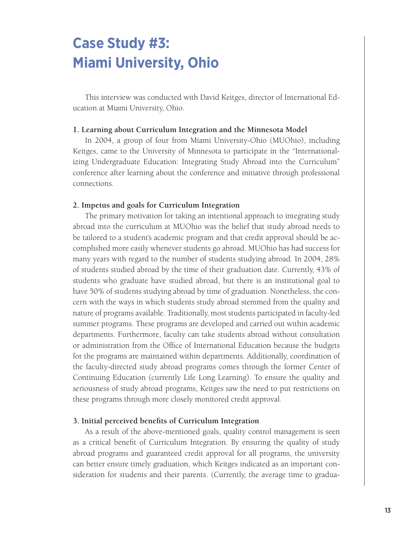# **Case Study #3: Miami University, Ohio**

This interview was conducted with David Keitges, director of International Education at Miami University, Ohio.

#### **1. Learning about Curriculum Integration and the Minnesota Model**

In 2004, a group of four from Miami University-Ohio (MUOhio), including Keitges, came to the University of Minnesota to participate in the "Internationalizing Undergraduate Education: Integrating Study Abroad into the Curriculum" conference after learning about the conference and initiative through professional connections.

## **2. Impetus and goals for Curriculum Integration**

The primary motivation for taking an intentional approach to integrating study abroad into the curriculum at MUOhio was the belief that study abroad needs to be tailored to a student's academic program and that credit approval should be accomplished more easily whenever students go abroad. MUOhio has had success for many years with regard to the number of students studying abroad. In 2004, 28% of students studied abroad by the time of their graduation date. Currently, 43% of students who graduate have studied abroad, but there is an institutional goal to have 50% of students studying abroad by time of graduation. Nonetheless, the concern with the ways in which students study abroad stemmed from the quality and nature of programs available. Traditionally, most students participated in faculty-led summer programs. These programs are developed and carried out within academic departments. Furthermore, faculty can take students abroad without consultation or administration from the Office of International Education because the budgets for the programs are maintained within departments. Additionally, coordination of the faculty-directed study abroad programs comes through the former Center of Continuing Education (currently Life Long Learning). To ensure the quality and seriousness of study abroad programs, Keitges saw the need to put restrictions on these programs through more closely monitored credit approval.

#### **3. Initial perceived benefits of Curriculum Integration**

As a result of the above-mentioned goals, quality control management is seen as a critical benefit of Curriculum Integration. By ensuring the quality of study abroad programs and guaranteed credit approval for all programs, the university can better ensure timely graduation, which Keitges indicated as an important consideration for students and their parents. (Currently, the average time to gradua-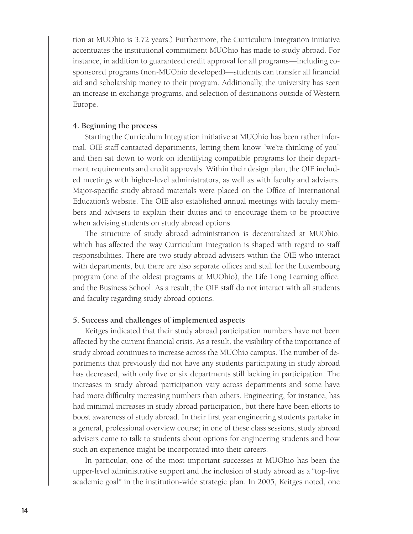tion at MUOhio is 3.72 years.) Furthermore, the Curriculum Integration initiative accentuates the institutional commitment MUOhio has made to study abroad. For instance, in addition to guaranteed credit approval for all programs—including cosponsored programs (non-MUOhio developed)—students can transfer all financial aid and scholarship money to their program. Additionally, the university has seen an increase in exchange programs, and selection of destinations outside of Western Europe.

### **4. Beginning the process**

Starting the Curriculum Integration initiative at MUOhio has been rather informal. OIE staff contacted departments, letting them know "we're thinking of you" and then sat down to work on identifying compatible programs for their department requirements and credit approvals. Within their design plan, the OIE included meetings with higher-level administrators, as well as with faculty and advisers. Major-specific study abroad materials were placed on the Office of International Education's website. The OIE also established annual meetings with faculty members and advisers to explain their duties and to encourage them to be proactive when advising students on study abroad options.

The structure of study abroad administration is decentralized at MUOhio, which has affected the way Curriculum Integration is shaped with regard to staff responsibilities. There are two study abroad advisers within the OIE who interact with departments, but there are also separate offices and staff for the Luxembourg program (one of the oldest programs at MUOhio), the Life Long Learning office, and the Business School. As a result, the OIE staff do not interact with all students and faculty regarding study abroad options.

#### **5. Success and challenges of implemented aspects**

Keitges indicated that their study abroad participation numbers have not been affected by the current financial crisis. As a result, the visibility of the importance of study abroad continues to increase across the MUOhio campus. The number of departments that previously did not have any students participating in study abroad has decreased, with only five or six departments still lacking in participation. The increases in study abroad participation vary across departments and some have had more difficulty increasing numbers than others. Engineering, for instance, has had minimal increases in study abroad participation, but there have been efforts to boost awareness of study abroad. In their first year engineering students partake in a general, professional overview course; in one of these class sessions, study abroad advisers come to talk to students about options for engineering students and how such an experience might be incorporated into their careers.

In particular, one of the most important successes at MUOhio has been the upper-level administrative support and the inclusion of study abroad as a "top-five academic goal" in the institution-wide strategic plan. In 2005, Keitges noted, one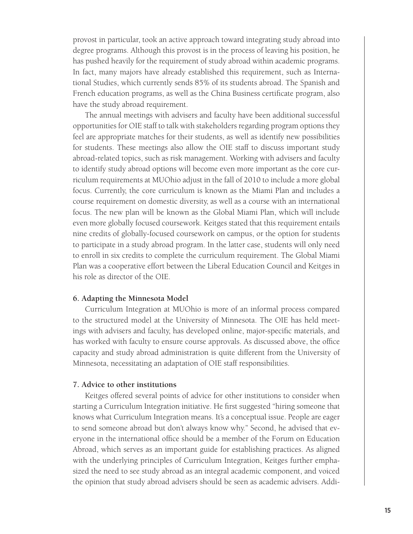provost in particular, took an active approach toward integrating study abroad into degree programs. Although this provost is in the process of leaving his position, he has pushed heavily for the requirement of study abroad within academic programs. In fact, many majors have already established this requirement, such as International Studies, which currently sends 85% of its students abroad. The Spanish and French education programs, as well as the China Business certificate program, also have the study abroad requirement.

The annual meetings with advisers and faculty have been additional successful opportunities for OIE staff to talk with stakeholders regarding program options they feel are appropriate matches for their students, as well as identify new possibilities for students. These meetings also allow the OIE staff to discuss important study abroad-related topics, such as risk management. Working with advisers and faculty to identify study abroad options will become even more important as the core curriculum requirements at MUOhio adjust in the fall of 2010 to include a more global focus. Currently, the core curriculum is known as the Miami Plan and includes a course requirement on domestic diversity, as well as a course with an international focus. The new plan will be known as the Global Miami Plan, which will include even more globally focused coursework. Keitges stated that this requirement entails nine credits of globally-focused coursework on campus, or the option for students to participate in a study abroad program. In the latter case, students will only need to enroll in six credits to complete the curriculum requirement. The Global Miami Plan was a cooperative effort between the Liberal Education Council and Keitges in his role as director of the OIE.

### **6. Adapting the Minnesota Model**

Curriculum Integration at MUOhio is more of an informal process compared to the structured model at the University of Minnesota. The OIE has held meetings with advisers and faculty, has developed online, major-specific materials, and has worked with faculty to ensure course approvals. As discussed above, the office capacity and study abroad administration is quite different from the University of Minnesota, necessitating an adaptation of OIE staff responsibilities.

#### **7. Advice to other institutions**

Keitges offered several points of advice for other institutions to consider when starting a Curriculum Integration initiative. He first suggested "hiring someone that knows what Curriculum Integration means. It's a conceptual issue. People are eager to send someone abroad but don't always know why." Second, he advised that everyone in the international office should be a member of the Forum on Education Abroad, which serves as an important guide for establishing practices. As aligned with the underlying principles of Curriculum Integration, Keitges further emphasized the need to see study abroad as an integral academic component, and voiced the opinion that study abroad advisers should be seen as academic advisers. Addi-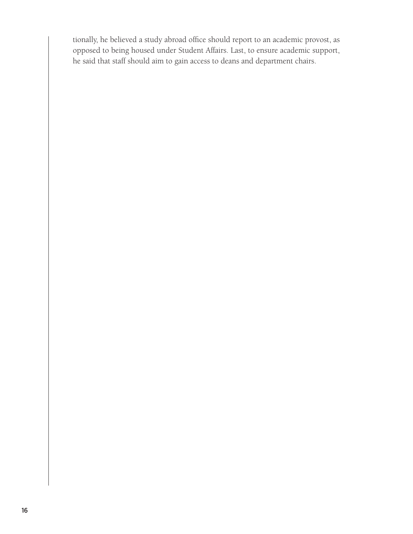tionally, he believed a study abroad office should report to an academic provost, as opposed to being housed under Student Affairs. Last, to ensure academic support, he said that staff should aim to gain access to deans and department chairs.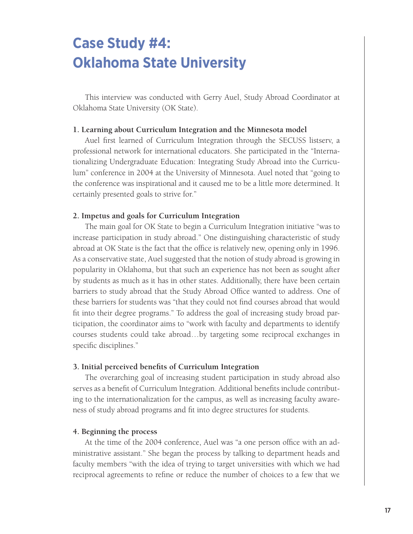# **Case Study #4: Oklahoma State University**

This interview was conducted with Gerry Auel, Study Abroad Coordinator at Oklahoma State University (OK State).

#### **1. Learning about Curriculum Integration and the Minnesota model**

Auel first learned of Curriculum Integration through the SECUSS listserv, a professional network for international educators. She participated in the "Internationalizing Undergraduate Education: Integrating Study Abroad into the Curriculum" conference in 2004 at the University of Minnesota. Auel noted that "going to the conference was inspirational and it caused me to be a little more determined. It certainly presented goals to strive for."

#### **2. Impetus and goals for Curriculum Integration**

The main goal for OK State to begin a Curriculum Integration initiative "was to increase participation in study abroad." One distinguishing characteristic of study abroad at OK State is the fact that the office is relatively new, opening only in 1996. As a conservative state, Auel suggested that the notion of study abroad is growing in popularity in Oklahoma, but that such an experience has not been as sought after by students as much as it has in other states. Additionally, there have been certain barriers to study abroad that the Study Abroad Office wanted to address. One of these barriers for students was "that they could not find courses abroad that would fit into their degree programs." To address the goal of increasing study broad participation, the coordinator aims to "work with faculty and departments to identify courses students could take abroad…by targeting some reciprocal exchanges in specific disciplines."

### **3. Initial perceived benefits of Curriculum Integration**

The overarching goal of increasing student participation in study abroad also serves as a benefit of Curriculum Integration. Additional benefits include contributing to the internationalization for the campus, as well as increasing faculty awareness of study abroad programs and fit into degree structures for students.

### **4. Beginning the process**

At the time of the 2004 conference, Auel was "a one person office with an administrative assistant." She began the process by talking to department heads and faculty members "with the idea of trying to target universities with which we had reciprocal agreements to refine or reduce the number of choices to a few that we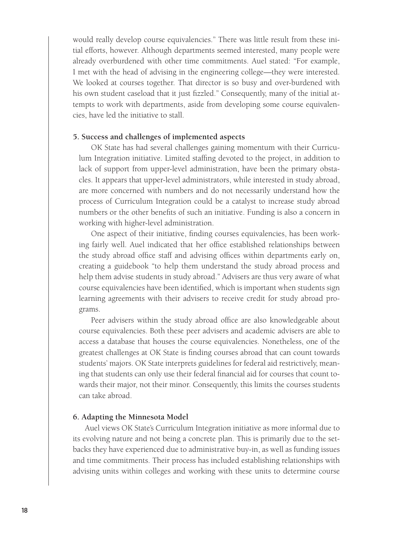would really develop course equivalencies." There was little result from these initial efforts, however. Although departments seemed interested, many people were already overburdened with other time commitments. Auel stated: "For example, I met with the head of advising in the engineering college—they were interested. We looked at courses together. That director is so busy and over-burdened with his own student caseload that it just fizzled." Consequently, many of the initial attempts to work with departments, aside from developing some course equivalencies, have led the initiative to stall.

#### **5. Success and challenges of implemented aspects**

OK State has had several challenges gaining momentum with their Curriculum Integration initiative. Limited staffing devoted to the project, in addition to lack of support from upper-level administration, have been the primary obstacles. It appears that upper-level administrators, while interested in study abroad, are more concerned with numbers and do not necessarily understand how the process of Curriculum Integration could be a catalyst to increase study abroad numbers or the other benefits of such an initiative. Funding is also a concern in working with higher-level administration.

One aspect of their initiative, finding courses equivalencies, has been working fairly well. Auel indicated that her office established relationships between the study abroad office staff and advising offices within departments early on, creating a guidebook "to help them understand the study abroad process and help them advise students in study abroad." Advisers are thus very aware of what course equivalencies have been identified, which is important when students sign learning agreements with their advisers to receive credit for study abroad programs.

Peer advisers within the study abroad office are also knowledgeable about course equivalencies. Both these peer advisers and academic advisers are able to access a database that houses the course equivalencies. Nonetheless, one of the greatest challenges at OK State is finding courses abroad that can count towards students' majors. OK State interprets guidelines for federal aid restrictively, meaning that students can only use their federal financial aid for courses that count towards their major, not their minor. Consequently, this limits the courses students can take abroad.

#### **6. Adapting the Minnesota Model**

Auel views OK State's Curriculum Integration initiative as more informal due to its evolving nature and not being a concrete plan. This is primarily due to the setbacks they have experienced due to administrative buy-in, as well as funding issues and time commitments. Their process has included establishing relationships with advising units within colleges and working with these units to determine course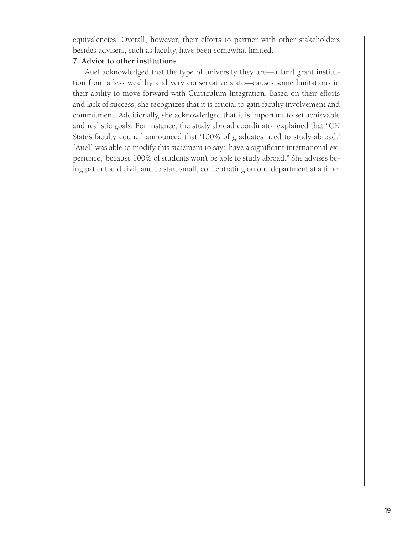equivalencies. Overall, however, their efforts to partner with other stakeholders besides advisers, such as faculty, have been somewhat limited.

# **7. Advice to other institutions**

Auel acknowledged that the type of university they are—a land grant institution from a less wealthy and very conservative state—causes some limitations in their ability to move forward with Curriculum Integration. Based on their efforts and lack of success, she recognizes that it is crucial to gain faculty involvement and commitment. Additionally, she acknowledged that it is important to set achievable and realistic goals. For instance, the study abroad coordinator explained that "OK State's faculty council announced that '100% of graduates need to study abroad.' [Auel] was able to modify this statement to say: 'have a significant international experience,' because 100% of students won't be able to study abroad." She advises being patient and civil, and to start small, concentrating on one department at a time.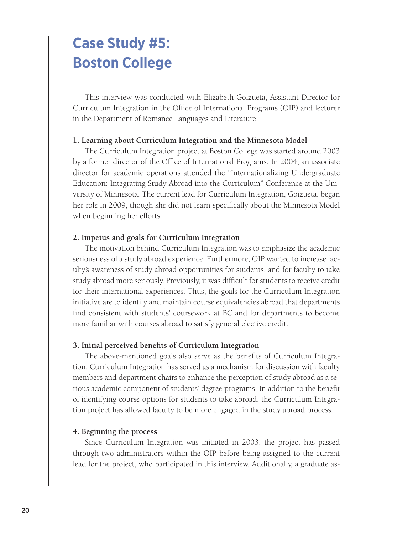# **Case Study #5: Boston College**

This interview was conducted with Elizabeth Goizueta, Assistant Director for Curriculum Integration in the Office of International Programs (OIP) and lecturer in the Department of Romance Languages and Literature.

## **1. Learning about Curriculum Integration and the Minnesota Model**

The Curriculum Integration project at Boston College was started around 2003 by a former director of the Office of International Programs. In 2004, an associate director for academic operations attended the "Internationalizing Undergraduate Education: Integrating Study Abroad into the Curriculum" Conference at the University of Minnesota. The current lead for Curriculum Integration, Goizueta, began her role in 2009, though she did not learn specifically about the Minnesota Model when beginning her efforts.

## **2. Impetus and goals for Curriculum Integration**

The motivation behind Curriculum Integration was to emphasize the academic seriousness of a study abroad experience. Furthermore, OIP wanted to increase faculty's awareness of study abroad opportunities for students, and for faculty to take study abroad more seriously. Previously, it was difficult for students to receive credit for their international experiences. Thus, the goals for the Curriculum Integration initiative are to identify and maintain course equivalencies abroad that departments find consistent with students' coursework at BC and for departments to become more familiar with courses abroad to satisfy general elective credit.

#### **3. Initial perceived benefits of Curriculum Integration**

The above-mentioned goals also serve as the benefits of Curriculum Integration. Curriculum Integration has served as a mechanism for discussion with faculty members and department chairs to enhance the perception of study abroad as a serious academic component of students' degree programs. In addition to the benefit of identifying course options for students to take abroad, the Curriculum Integration project has allowed faculty to be more engaged in the study abroad process.

### **4. Beginning the process**

Since Curriculum Integration was initiated in 2003, the project has passed through two administrators within the OIP before being assigned to the current lead for the project, who participated in this interview. Additionally, a graduate as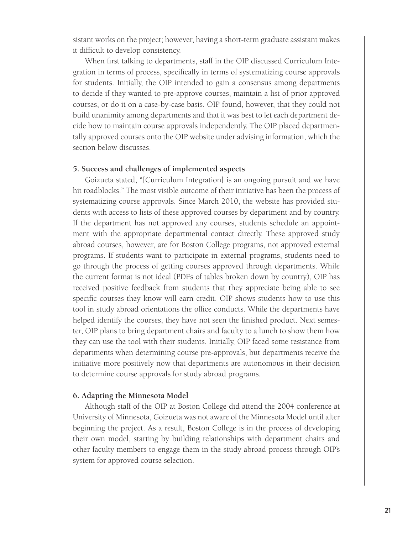sistant works on the project; however, having a short-term graduate assistant makes it difficult to develop consistency.

When first talking to departments, staff in the OIP discussed Curriculum Integration in terms of process, specifically in terms of systematizing course approvals for students. Initially, the OIP intended to gain a consensus among departments to decide if they wanted to pre-approve courses, maintain a list of prior approved courses, or do it on a case-by-case basis. OIP found, however, that they could not build unanimity among departments and that it was best to let each department decide how to maintain course approvals independently. The OIP placed departmentally approved courses onto the OIP website under advising information, which the section below discusses.

#### **5. Success and challenges of implemented aspects**

Goizueta stated, "[Curriculum Integration] is an ongoing pursuit and we have hit roadblocks." The most visible outcome of their initiative has been the process of systematizing course approvals. Since March 2010, the website has provided students with access to lists of these approved courses by department and by country. If the department has not approved any courses, students schedule an appointment with the appropriate departmental contact directly. These approved study abroad courses, however, are for Boston College programs, not approved external programs. If students want to participate in external programs, students need to go through the process of getting courses approved through departments. While the current format is not ideal (PDFs of tables broken down by country), OIP has received positive feedback from students that they appreciate being able to see specific courses they know will earn credit. OIP shows students how to use this tool in study abroad orientations the office conducts. While the departments have helped identify the courses, they have not seen the finished product. Next semester, OIP plans to bring department chairs and faculty to a lunch to show them how they can use the tool with their students. Initially, OIP faced some resistance from departments when determining course pre-approvals, but departments receive the initiative more positively now that departments are autonomous in their decision to determine course approvals for study abroad programs.

#### **6. Adapting the Minnesota Model**

Although staff of the OIP at Boston College did attend the 2004 conference at University of Minnesota, Goizueta was not aware of the Minnesota Model until after beginning the project. As a result, Boston College is in the process of developing their own model, starting by building relationships with department chairs and other faculty members to engage them in the study abroad process through OIP's system for approved course selection.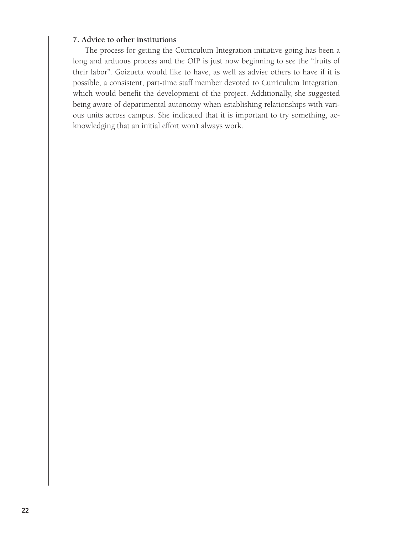# **7. Advice to other institutions**

The process for getting the Curriculum Integration initiative going has been a long and arduous process and the OIP is just now beginning to see the "fruits of their labor". Goizueta would like to have, as well as advise others to have if it is possible, a consistent, part-time staff member devoted to Curriculum Integration, which would benefit the development of the project. Additionally, she suggested being aware of departmental autonomy when establishing relationships with various units across campus. She indicated that it is important to try something, acknowledging that an initial effort won't always work.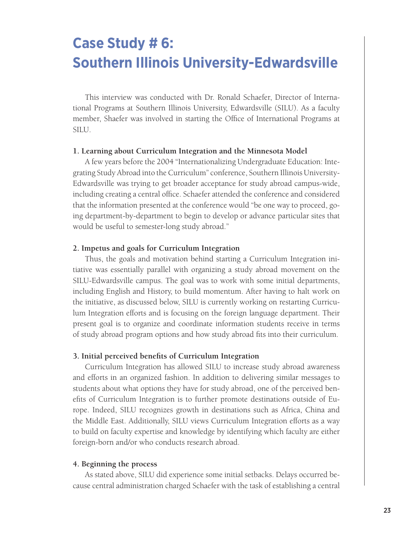# **Case Study # 6: Southern Illinois University-Edwardsville**

This interview was conducted with Dr. Ronald Schaefer, Director of International Programs at Southern Illinois University, Edwardsville (SILU). As a faculty member, Shaefer was involved in starting the Office of International Programs at SILU.

#### **1. Learning about Curriculum Integration and the Minnesota Model**

A few years before the 2004 "Internationalizing Undergraduate Education: Integrating Study Abroad into the Curriculum" conference, Southern Illinois University-Edwardsville was trying to get broader acceptance for study abroad campus-wide, including creating a central office. Schaefer attended the conference and considered that the information presented at the conference would "be one way to proceed, going department-by-department to begin to develop or advance particular sites that would be useful to semester-long study abroad."

#### **2. Impetus and goals for Curriculum Integration**

Thus, the goals and motivation behind starting a Curriculum Integration initiative was essentially parallel with organizing a study abroad movement on the SILU-Edwardsville campus. The goal was to work with some initial departments, including English and History, to build momentum. After having to halt work on the initiative, as discussed below, SILU is currently working on restarting Curriculum Integration efforts and is focusing on the foreign language department. Their present goal is to organize and coordinate information students receive in terms of study abroad program options and how study abroad fits into their curriculum.

#### **3. Initial perceived benefits of Curriculum Integration**

Curriculum Integration has allowed SILU to increase study abroad awareness and efforts in an organized fashion. In addition to delivering similar messages to students about what options they have for study abroad, one of the perceived benefits of Curriculum Integration is to further promote destinations outside of Europe. Indeed, SILU recognizes growth in destinations such as Africa, China and the Middle East. Additionally, SILU views Curriculum Integration efforts as a way to build on faculty expertise and knowledge by identifying which faculty are either foreign-born and/or who conducts research abroad.

#### **4. Beginning the process**

As stated above, SILU did experience some initial setbacks. Delays occurred because central administration charged Schaefer with the task of establishing a central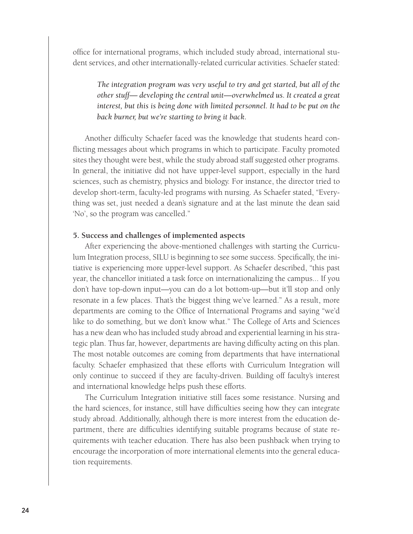office for international programs, which included study abroad, international student services, and other internationally-related curricular activities. Schaefer stated:

*The integration program was very useful to try and get started, but all of the other stuff— developing the central unit—overwhelmed us. It created a great*  interest, but this is being done with limited personnel. It had to be put on the *back burner, but we're starting to bring it back.*

Another difficulty Schaefer faced was the knowledge that students heard conflicting messages about which programs in which to participate. Faculty promoted sites they thought were best, while the study abroad staff suggested other programs. In general, the initiative did not have upper-level support, especially in the hard sciences, such as chemistry, physics and biology. For instance, the director tried to develop short-term, faculty-led programs with nursing. As Schaefer stated, "Everything was set, just needed a dean's signature and at the last minute the dean said 'No', so the program was cancelled."

## **5. Success and challenges of implemented aspects**

After experiencing the above-mentioned challenges with starting the Curriculum Integration process, SILU is beginning to see some success. Specifically, the initiative is experiencing more upper-level support. As Schaefer described, "this past year, the chancellor initiated a task force on internationalizing the campus... If you don't have top-down input—you can do a lot bottom-up—but it'll stop and only resonate in a few places. That's the biggest thing we've learned." As a result, more departments are coming to the Office of International Programs and saying "we'd like to do something, but we don't know what." The College of Arts and Sciences has a new dean who has included study abroad and experiential learning in his strategic plan. Thus far, however, departments are having difficulty acting on this plan. The most notable outcomes are coming from departments that have international faculty. Schaefer emphasized that these efforts with Curriculum Integration will only continue to succeed if they are faculty-driven. Building off faculty's interest and international knowledge helps push these efforts.

The Curriculum Integration initiative still faces some resistance. Nursing and the hard sciences, for instance, still have difficulties seeing how they can integrate study abroad. Additionally, although there is more interest from the education department, there are difficulties identifying suitable programs because of state requirements with teacher education. There has also been pushback when trying to encourage the incorporation of more international elements into the general education requirements.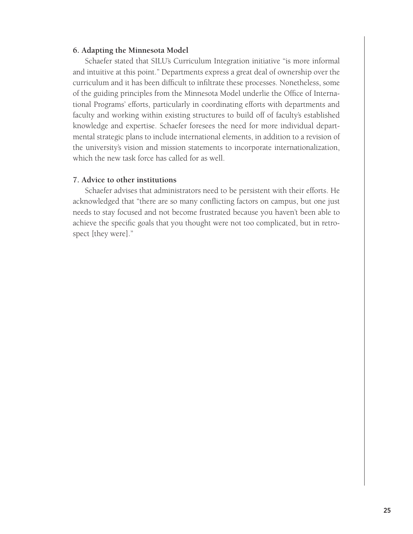#### **6. Adapting the Minnesota Model**

Schaefer stated that SILU's Curriculum Integration initiative "is more informal and intuitive at this point." Departments express a great deal of ownership over the curriculum and it has been difficult to infiltrate these processes. Nonetheless, some of the guiding principles from the Minnesota Model underlie the Office of International Programs' efforts, particularly in coordinating efforts with departments and faculty and working within existing structures to build off of faculty's established knowledge and expertise. Schaefer foresees the need for more individual departmental strategic plans to include international elements, in addition to a revision of the university's vision and mission statements to incorporate internationalization, which the new task force has called for as well.

#### **7. Advice to other institutions**

Schaefer advises that administrators need to be persistent with their efforts. He acknowledged that "there are so many conflicting factors on campus, but one just needs to stay focused and not become frustrated because you haven't been able to achieve the specific goals that you thought were not too complicated, but in retrospect [they were]."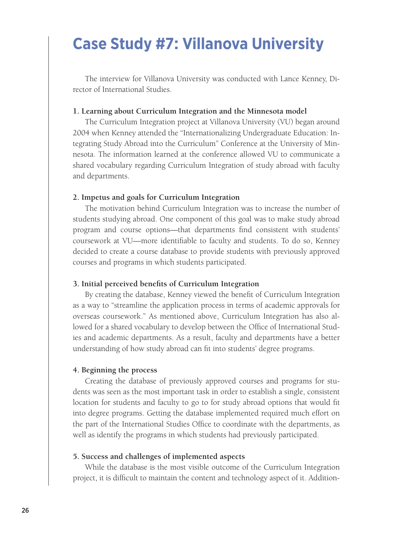# **Case Study #7: Villanova University**

The interview for Villanova University was conducted with Lance Kenney, Director of International Studies.

## **1. Learning about Curriculum Integration and the Minnesota model**

The Curriculum Integration project at Villanova University (VU) began around 2004 when Kenney attended the "Internationalizing Undergraduate Education: Integrating Study Abroad into the Curriculum" Conference at the University of Minnesota. The information learned at the conference allowed VU to communicate a shared vocabulary regarding Curriculum Integration of study abroad with faculty and departments.

#### **2. Impetus and goals for Curriculum Integration**

The motivation behind Curriculum Integration was to increase the number of students studying abroad. One component of this goal was to make study abroad program and course options—that departments find consistent with students' coursework at VU—more identifiable to faculty and students. To do so, Kenney decided to create a course database to provide students with previously approved courses and programs in which students participated.

#### **3. Initial perceived benefits of Curriculum Integration**

By creating the database, Kenney viewed the benefit of Curriculum Integration as a way to "streamline the application process in terms of academic approvals for overseas coursework." As mentioned above, Curriculum Integration has also allowed for a shared vocabulary to develop between the Office of International Studies and academic departments. As a result, faculty and departments have a better understanding of how study abroad can fit into students' degree programs.

#### **4. Beginning the process**

Creating the database of previously approved courses and programs for students was seen as the most important task in order to establish a single, consistent location for students and faculty to go to for study abroad options that would fit into degree programs. Getting the database implemented required much effort on the part of the International Studies Office to coordinate with the departments, as well as identify the programs in which students had previously participated.

### **5. Success and challenges of implemented aspects**

While the database is the most visible outcome of the Curriculum Integration project, it is difficult to maintain the content and technology aspect of it. Addition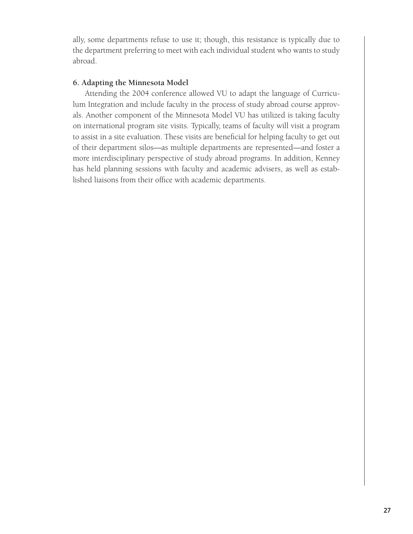ally, some departments refuse to use it; though, this resistance is typically due to the department preferring to meet with each individual student who wants to study abroad.

# **6. Adapting the Minnesota Model**

Attending the 2004 conference allowed VU to adapt the language of Curriculum Integration and include faculty in the process of study abroad course approvals. Another component of the Minnesota Model VU has utilized is taking faculty on international program site visits. Typically, teams of faculty will visit a program to assist in a site evaluation. These visits are beneficial for helping faculty to get out of their department silos—as multiple departments are represented—and foster a more interdisciplinary perspective of study abroad programs. In addition, Kenney has held planning sessions with faculty and academic advisers, as well as established liaisons from their office with academic departments.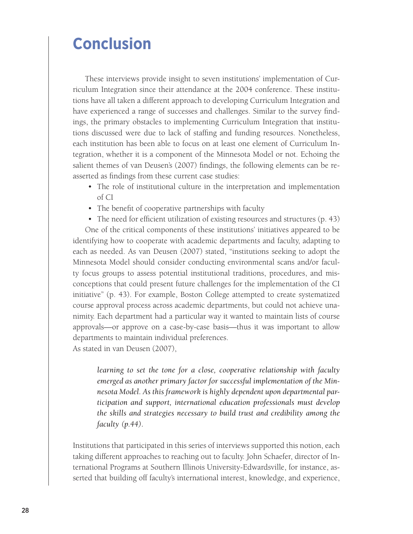# **Conclusion**

These interviews provide insight to seven institutions' implementation of Curriculum Integration since their attendance at the 2004 conference. These institutions have all taken a different approach to developing Curriculum Integration and have experienced a range of successes and challenges. Similar to the survey findings, the primary obstacles to implementing Curriculum Integration that institutions discussed were due to lack of staffing and funding resources. Nonetheless, each institution has been able to focus on at least one element of Curriculum Integration, whether it is a component of the Minnesota Model or not. Echoing the salient themes of van Deusen's (2007) findings, the following elements can be reasserted as findings from these current case studies:

- The role of institutional culture in the interpretation and implementation of CI
- The benefit of cooperative partnerships with faculty
- The need for efficient utilization of existing resources and structures (p. 43)

One of the critical components of these institutions' initiatives appeared to be identifying how to cooperate with academic departments and faculty, adapting to each as needed. As van Deusen (2007) stated, "institutions seeking to adopt the Minnesota Model should consider conducting environmental scans and/or faculty focus groups to assess potential institutional traditions, procedures, and misconceptions that could present future challenges for the implementation of the CI initiative" (p. 43). For example, Boston College attempted to create systematized course approval process across academic departments, but could not achieve unanimity. Each department had a particular way it wanted to maintain lists of course approvals—or approve on a case-by-case basis—thus it was important to allow departments to maintain individual preferences.

As stated in van Deusen (2007),

*learning to set the tone for a close, cooperative relationship with faculty emerged as another primary factor for successful implementation of the Minnesota Model. As this framework is highly dependent upon departmental participation and support, international education professionals must develop the skills and strategies necessary to build trust and credibility among the faculty (p.44).*

Institutions that participated in this series of interviews supported this notion, each taking different approaches to reaching out to faculty. John Schaefer, director of International Programs at Southern Illinois University-Edwardsville, for instance, asserted that building off faculty's international interest, knowledge, and experience,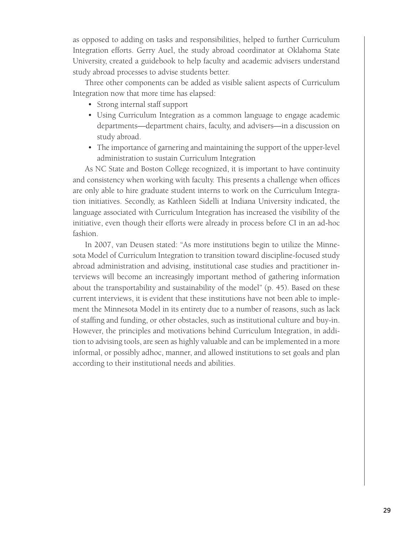as opposed to adding on tasks and responsibilities, helped to further Curriculum Integration efforts. Gerry Auel, the study abroad coordinator at Oklahoma State University, created a guidebook to help faculty and academic advisers understand study abroad processes to advise students better.

Three other components can be added as visible salient aspects of Curriculum Integration now that more time has elapsed:

- Strong internal staff support
- Using Curriculum Integration as a common language to engage academic departments—department chairs, faculty, and advisers—in a discussion on study abroad.
- The importance of garnering and maintaining the support of the upper-level administration to sustain Curriculum Integration

As NC State and Boston College recognized, it is important to have continuity and consistency when working with faculty. This presents a challenge when offices are only able to hire graduate student interns to work on the Curriculum Integration initiatives. Secondly, as Kathleen Sidelli at Indiana University indicated, the language associated with Curriculum Integration has increased the visibility of the initiative, even though their efforts were already in process before CI in an ad-hoc fashion.

In 2007, van Deusen stated: "As more institutions begin to utilize the Minnesota Model of Curriculum Integration to transition toward discipline-focused study abroad administration and advising, institutional case studies and practitioner interviews will become an increasingly important method of gathering information about the transportability and sustainability of the model" (p. 45). Based on these current interviews, it is evident that these institutions have not been able to implement the Minnesota Model in its entirety due to a number of reasons, such as lack of staffing and funding, or other obstacles, such as institutional culture and buy-in. However, the principles and motivations behind Curriculum Integration, in addition to advising tools, are seen as highly valuable and can be implemented in a more informal, or possibly adhoc, manner, and allowed institutions to set goals and plan according to their institutional needs and abilities.